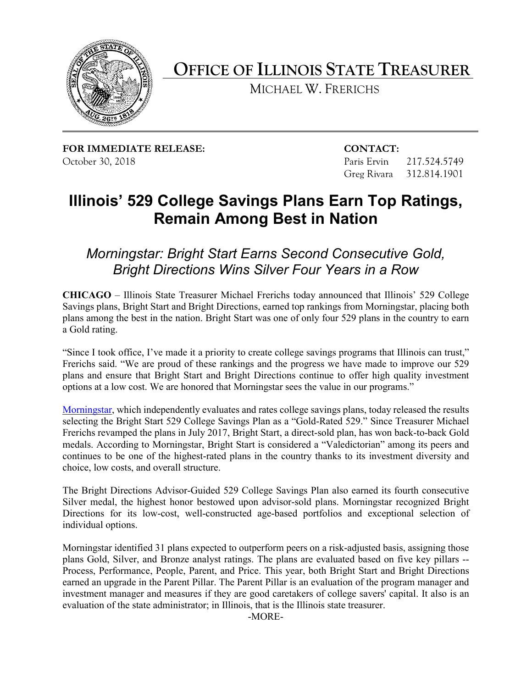

## **OFFICE OF ILLINOIS STATE TREASURER**

MICHAEL W. FRERICHS

**FOR IMMEDIATE RELEASE: CONTACT:** October 30, 2018 Paris Ervin 217.524.5749

Greg Rivara 312.814.1901

## **Illinois' 529 College Savings Plans Earn Top Ratings, Remain Among Best in Nation**

 *Morningstar: Bright Start Earns Second Consecutive Gold, Bright Directions Wins Silver Four Years in a Row* 

 **CHICAGO** – Illinois State Treasurer Michael Frerichs today announced that Illinois' 529 College Savings plans, Bright Start and Bright Directions, earned top rankings from Morningstar, placing both plans among the best in the nation. Bright Start was one of only four 529 plans in the country to earn a Gold rating.

"Since I took office, I've made it a priority to create college savings programs that Illinois can trust," Frerichs said. "We are proud of these rankings and the progress we have made to improve our 529 plans and ensure that Bright Start and Bright Directions continue to offer high quality investment options at a low cost. We are honored that Morningstar sees the value in our programs."

[Morningstar,](http://morningstar.com/) which independently evaluates and rates college savings plans, today released the results selecting the Bright Start 529 College Savings Plan as a "Gold-Rated 529." Since Treasurer Michael Frerichs revamped the plans in July 2017, Bright Start, a direct-sold plan, has won back-to-back Gold medals. According to Morningstar, Bright Start is considered a "Valedictorian" among its peers and continues to be one of the highest-rated plans in the country thanks to its investment diversity and choice, low costs, and overall structure.

individual options. The Bright Directions Advisor-Guided 529 College Savings Plan also earned its fourth consecutive Silver medal, the highest honor bestowed upon advisor-sold plans. Morningstar recognized Bright Directions for its low-cost, well-constructed age-based portfolios and exceptional selection of

 investment manager and measures if they are good caretakers of college savers' capital. It also is an evaluation of the state administrator; in Illinois, that is the Illinois state treasurer. Morningstar identified 31 plans expected to outperform peers on a risk-adjusted basis, assigning those plans Gold, Silver, and Bronze analyst ratings. The plans are evaluated based on five key pillars -- Process, Performance, People, Parent, and Price. This year, both Bright Start and Bright Directions earned an upgrade in the Parent Pillar. The Parent Pillar is an evaluation of the program manager and

-MORE-